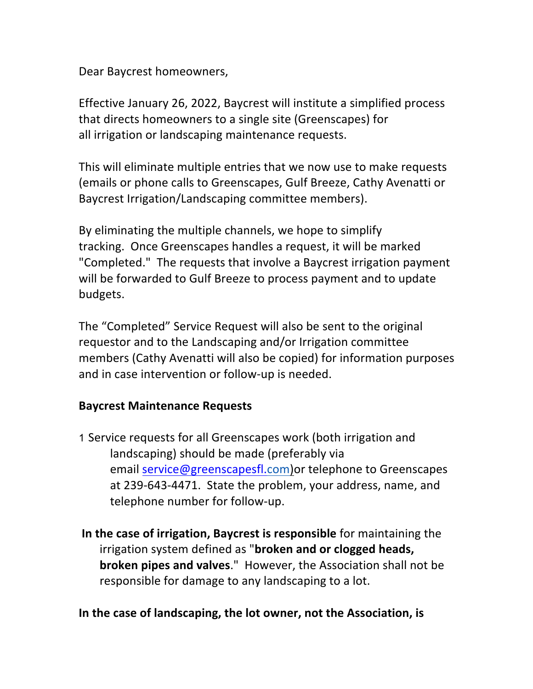Dear Baycrest homeowners,

Effective January 26, 2022, Baycrest will institute a simplified process that directs homeowners to a single site (Greenscapes) for all irrigation or landscaping maintenance requests.

This will eliminate multiple entries that we now use to make requests (emails or phone calls to Greenscapes, Gulf Breeze, Cathy Avenatti or Baycrest Irrigation/Landscaping committee members).

By eliminating the multiple channels, we hope to simplify tracking. Once Greenscapes handles a request, it will be marked "Completed." The requests that involve a Baycrest irrigation payment will be forwarded to Gulf Breeze to process payment and to update budgets.

The "Completed" Service Request will also be sent to the original requestor and to the Landscaping and/or Irrigation committee members (Cathy Avenatti will also be copied) for information purposes and in case intervention or follow-up is needed.

## **Baycrest Maintenance Requests**

1 Service requests for all Greenscapes work (both irrigation and landscaping) should be made (preferably via email service@greenscapesfl.com) or telephone to Greenscapes at 239-643-4471. State the problem, your address, name, and telephone number for follow-up.

**In the case of irrigation, Baycrest is responsible** for maintaining the irrigation system defined as "**broken and or clogged heads, broken pipes and valves."** However, the Association shall not be responsible for damage to any landscaping to a lot.

## In the case of landscaping, the lot owner, not the Association, is